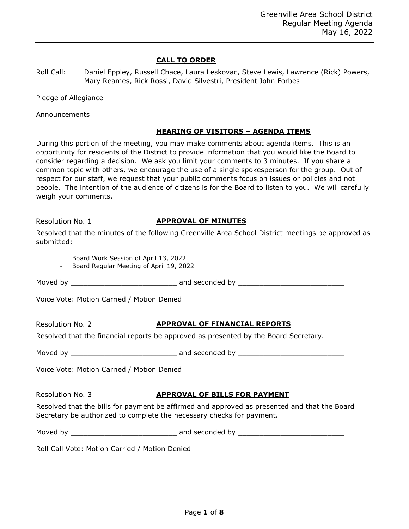## **CALL TO ORDER**

| Roll Call: | Daniel Eppley, Russell Chace, Laura Leskovac, Steve Lewis, Lawrence (Rick) Powers, |
|------------|------------------------------------------------------------------------------------|
|            | Mary Reames, Rick Rossi, David Silvestri, President John Forbes                    |

Pledge of Allegiance

Announcements

## **HEARING OF VISITORS – AGENDA ITEMS**

During this portion of the meeting, you may make comments about agenda items. This is an opportunity for residents of the District to provide information that you would like the Board to consider regarding a decision. We ask you limit your comments to 3 minutes. If you share a common topic with others, we encourage the use of a single spokesperson for the group. Out of respect for our staff, we request that your public comments focus on issues or policies and not people. The intention of the audience of citizens is for the Board to listen to you. We will carefully weigh your comments.

Resolution No. 1

## **APPROVAL OF MINUTES**

| Resolved that the minutes of the following Greenville Area School District meetings be approved as |  |  |  |  |
|----------------------------------------------------------------------------------------------------|--|--|--|--|
| submitted:                                                                                         |  |  |  |  |

- Board Work Session of April 13, 2022

- Board Regular Meeting of April 19, 2022

Moved by \_\_\_\_\_\_\_\_\_\_\_\_\_\_\_\_\_\_\_\_\_\_\_\_\_ and seconded by \_\_\_\_\_\_\_\_\_\_\_\_\_\_\_\_\_\_\_\_\_\_\_\_\_

| Voice Vote: Motion Carried / Motion Denied |  |  |  |  |
|--------------------------------------------|--|--|--|--|
|--------------------------------------------|--|--|--|--|

Resolution No. 2

## **APPROVAL OF FINANCIAL REPORTS**

Resolved that the financial reports be approved as presented by the Board Secretary.

Moved by \_\_\_\_\_\_\_\_\_\_\_\_\_\_\_\_\_\_\_\_\_\_\_\_\_ and seconded by \_\_\_\_\_\_\_\_\_\_\_\_\_\_\_\_\_\_\_\_\_\_\_\_\_

Voice Vote: Motion Carried / Motion Denied

Resolution No. 3

## **APPROVAL OF BILLS FOR PAYMENT**

Resolved that the bills for payment be affirmed and approved as presented and that the Board Secretary be authorized to complete the necessary checks for payment.

Moved by \_\_\_\_\_\_\_\_\_\_\_\_\_\_\_\_\_\_\_\_\_\_\_\_\_ and seconded by \_\_\_\_\_\_\_\_\_\_\_\_\_\_\_\_\_\_\_\_\_\_\_\_\_

Roll Call Vote: Motion Carried / Motion Denied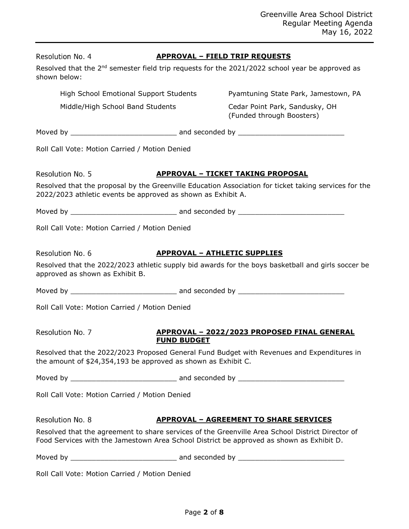| Resolution No. 4<br>shown below: | <b>APPROVAL - FIELD TRIP REQUESTS</b><br>Resolved that the 2 <sup>nd</sup> semester field trip requests for the 2021/2022 school year be approved as                                         |                                                                                                       |
|----------------------------------|----------------------------------------------------------------------------------------------------------------------------------------------------------------------------------------------|-------------------------------------------------------------------------------------------------------|
|                                  | High School Emotional Support Students                                                                                                                                                       | Pyamtuning State Park, Jamestown, PA                                                                  |
|                                  | Middle/High School Band Students                                                                                                                                                             | Cedar Point Park, Sandusky, OH<br>(Funded through Boosters)                                           |
|                                  |                                                                                                                                                                                              |                                                                                                       |
|                                  | Roll Call Vote: Motion Carried / Motion Denied                                                                                                                                               |                                                                                                       |
| Resolution No. 5                 |                                                                                                                                                                                              | <b>APPROVAL - TICKET TAKING PROPOSAL</b>                                                              |
|                                  | 2022/2023 athletic events be approved as shown as Exhibit A.                                                                                                                                 | Resolved that the proposal by the Greenville Education Association for ticket taking services for the |
|                                  |                                                                                                                                                                                              |                                                                                                       |
|                                  | Roll Call Vote: Motion Carried / Motion Denied                                                                                                                                               |                                                                                                       |
| Resolution No. 6                 | <b>APPROVAL - ATHLETIC SUPPLIES</b><br>approved as shown as Exhibit B.                                                                                                                       | Resolved that the 2022/2023 athletic supply bid awards for the boys basketball and girls soccer be    |
|                                  |                                                                                                                                                                                              |                                                                                                       |
|                                  | Roll Call Vote: Motion Carried / Motion Denied                                                                                                                                               |                                                                                                       |
| Resolution No. 7                 | <b>FUND BUDGET</b>                                                                                                                                                                           | APPROVAL - 2022/2023 PROPOSED FINAL GENERAL                                                           |
|                                  | Resolved that the 2022/2023 Proposed General Fund Budget with Revenues and Expenditures in<br>the amount of \$24,354,193 be approved as shown as Exhibit C.                                  |                                                                                                       |
|                                  |                                                                                                                                                                                              |                                                                                                       |
|                                  | Roll Call Vote: Motion Carried / Motion Denied                                                                                                                                               |                                                                                                       |
| Resolution No. 8                 |                                                                                                                                                                                              | <b>APPROVAL - AGREEMENT TO SHARE SERVICES</b>                                                         |
|                                  | Resolved that the agreement to share services of the Greenville Area School District Director of<br>Food Services with the Jamestown Area School District be approved as shown as Exhibit D. |                                                                                                       |
|                                  |                                                                                                                                                                                              |                                                                                                       |
|                                  | Roll Call Vote: Motion Carried / Motion Denied                                                                                                                                               |                                                                                                       |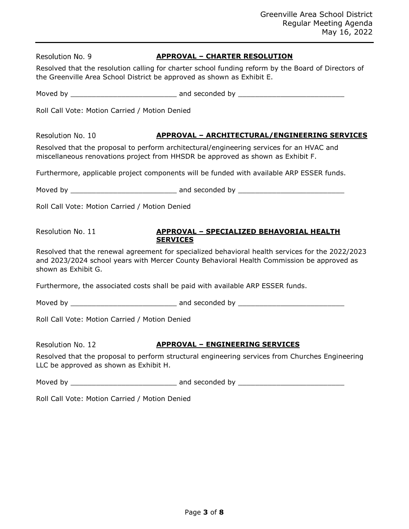| Resolution No. 9                               | <b>APPROVAL - CHARTER RESOLUTION</b>                                                                                                                                                          |
|------------------------------------------------|-----------------------------------------------------------------------------------------------------------------------------------------------------------------------------------------------|
|                                                | Resolved that the resolution calling for charter school funding reform by the Board of Directors of<br>the Greenville Area School District be approved as shown as Exhibit E.                 |
|                                                |                                                                                                                                                                                               |
| Roll Call Vote: Motion Carried / Motion Denied |                                                                                                                                                                                               |
| Resolution No. 10                              | <b>APPROVAL - ARCHITECTURAL/ENGINEERING SERVICES</b>                                                                                                                                          |
|                                                | Resolved that the proposal to perform architectural/engineering services for an HVAC and<br>miscellaneous renovations project from HHSDR be approved as shown as Exhibit F.                   |
|                                                | Furthermore, applicable project components will be funded with available ARP ESSER funds.                                                                                                     |
|                                                |                                                                                                                                                                                               |
| Roll Call Vote: Motion Carried / Motion Denied |                                                                                                                                                                                               |
| Resolution No. 11                              | <b>APPROVAL - SPECIALIZED BEHAVORIAL HEALTH</b><br><b>SERVICES</b>                                                                                                                            |
| shown as Exhibit G.                            | Resolved that the renewal agreement for specialized behavioral health services for the 2022/2023<br>and 2023/2024 school years with Mercer County Behavioral Health Commission be approved as |
|                                                | Furthermore, the associated costs shall be paid with available ARP ESSER funds.                                                                                                               |
|                                                |                                                                                                                                                                                               |
| Roll Call Vote: Motion Carried / Motion Denied |                                                                                                                                                                                               |
| Resolution No. 12                              | <b>APPROVAL - ENGINEERING SERVICES</b>                                                                                                                                                        |
| LLC be approved as shown as Exhibit H.         | Resolved that the proposal to perform structural engineering services from Churches Engineering                                                                                               |
|                                                |                                                                                                                                                                                               |
| Roll Call Vote: Motion Carried / Motion Denied |                                                                                                                                                                                               |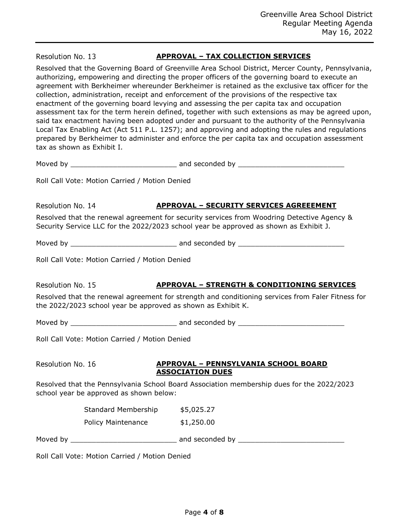Resolution No. 13

## **APPROVAL – TAX COLLECTION SERVICES**

Resolved that the Governing Board of Greenville Area School District, Mercer County, Pennsylvania, authorizing, empowering and directing the proper officers of the governing board to execute an agreement with Berkheimer whereunder Berkheimer is retained as the exclusive tax officer for the collection, administration, receipt and enforcement of the provisions of the respective tax enactment of the governing board levying and assessing the per capita tax and occupation assessment tax for the term herein defined, together with such extensions as may be agreed upon, said tax enactment having been adopted under and pursuant to the authority of the Pennsylvania Local Tax Enabling Act (Act 511 P.L. 1257); and approving and adopting the rules and regulations prepared by Berkheimer to administer and enforce the per capita tax and occupation assessment tax as shown as Exhibit I.

Moved by \_\_\_\_\_\_\_\_\_\_\_\_\_\_\_\_\_\_\_\_\_\_\_\_\_ and seconded by \_\_\_\_\_\_\_\_\_\_\_\_\_\_\_\_\_\_\_\_\_\_\_\_\_

Roll Call Vote: Motion Carried / Motion Denied

Resolution No. 14

# **APPROVAL – SECURITY SERVICES AGREEEMENT**

Resolved that the renewal agreement for security services from Woodring Detective Agency & Security Service LLC for the 2022/2023 school year be approved as shown as Exhibit J.

Moved by **Example 20** and seconded by  $\overline{a}$ 

Roll Call Vote: Motion Carried / Motion Denied

Resolution No. 15

## **APPROVAL – STRENGTH & CONDITIONING SERVICES**

Resolved that the renewal agreement for strength and conditioning services from Faler Fitness for the 2022/2023 school year be approved as shown as Exhibit K.

Moved by \_\_\_\_\_\_\_\_\_\_\_\_\_\_\_\_\_\_\_\_\_\_\_\_\_ and seconded by \_\_\_\_\_\_\_\_\_\_\_\_\_\_\_\_\_\_\_\_\_\_\_\_\_

Roll Call Vote: Motion Carried / Motion Denied

Resolution No. 16

## **APPROVAL – PENNSYLVANIA SCHOOL BOARD ASSOCIATION DUES**

Resolved that the Pennsylvania School Board Association membership dues for the 2022/2023 school year be approved as shown below:

| Standard Membership       | \$5,025.27 |
|---------------------------|------------|
| <b>Policy Maintenance</b> | \$1,250.00 |

Moved by \_\_\_\_\_\_\_\_\_\_\_\_\_\_\_\_\_\_\_\_\_\_\_\_\_ and seconded by \_\_\_\_\_\_\_\_\_\_\_\_\_\_\_\_\_\_\_\_\_\_\_\_\_

Roll Call Vote: Motion Carried / Motion Denied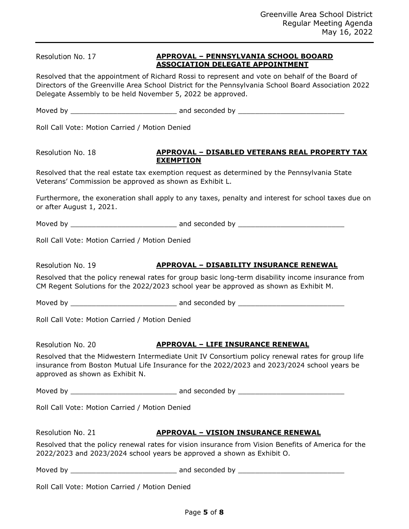Resolution No. 17

## **APPROVAL – PENNSYLVANIA SCHOOL BOOARD ASSOCIATION DELEGATE APPOINTMENT**

Resolved that the appointment of Richard Rossi to represent and vote on behalf of the Board of Directors of the Greenville Area School District for the Pennsylvania School Board Association 2022 Delegate Assembly to be held November 5, 2022 be approved.

Moved by **Example 20** and seconded by  $\overline{a}$ 

Roll Call Vote: Motion Carried / Motion Denied

Resolution No. 18

#### **APPROVAL – DISABLED VETERANS REAL PROPERTY TAX EXEMPTION**

Resolved that the real estate tax exemption request as determined by the Pennsylvania State Veterans' Commission be approved as shown as Exhibit L.

Furthermore, the exoneration shall apply to any taxes, penalty and interest for school taxes due on or after August 1, 2021.

Moved by \_\_\_\_\_\_\_\_\_\_\_\_\_\_\_\_\_\_\_\_\_\_\_\_\_ and seconded by \_\_\_\_\_\_\_\_\_\_\_\_\_\_\_\_\_\_\_\_\_\_\_\_\_

Roll Call Vote: Motion Carried / Motion Denied

Resolution No. 19

**APPROVAL – DISABILITY INSURANCE RENEWAL**

Resolved that the policy renewal rates for group basic long-term disability income insurance from CM Regent Solutions for the 2022/2023 school year be approved as shown as Exhibit M.

Moved by **Example 20** and seconded by  $\overline{a}$ 

Roll Call Vote: Motion Carried / Motion Denied

Resolution No. 20

## **APPROVAL – LIFE INSURANCE RENEWAL**

Resolved that the Midwestern Intermediate Unit IV Consortium policy renewal rates for group life insurance from Boston Mutual Life Insurance for the 2022/2023 and 2023/2024 school years be approved as shown as Exhibit N.

Moved by \_\_\_\_\_\_\_\_\_\_\_\_\_\_\_\_\_\_\_\_\_\_\_\_\_ and seconded by \_\_\_\_\_\_\_\_\_\_\_\_\_\_\_\_\_\_\_\_\_\_\_\_\_

Roll Call Vote: Motion Carried / Motion Denied

Resolution No. 21

## **APPROVAL – VISION INSURANCE RENEWAL**

Resolved that the policy renewal rates for vision insurance from Vision Benefits of America for the 2022/2023 and 2023/2024 school years be approved a shown as Exhibit O.

Moved by \_\_\_\_\_\_\_\_\_\_\_\_\_\_\_\_\_\_\_\_\_\_\_\_\_ and seconded by \_\_\_\_\_\_\_\_\_\_\_\_\_\_\_\_\_\_\_\_\_\_\_\_\_

Roll Call Vote: Motion Carried / Motion Denied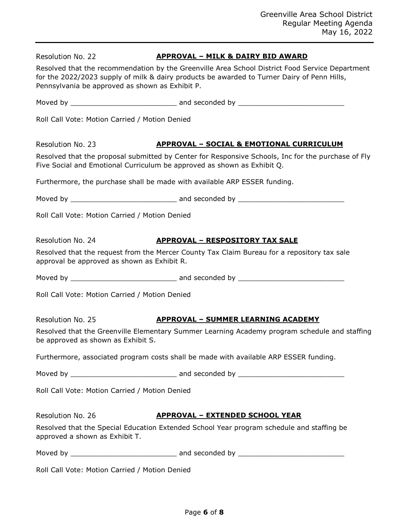| Resolution No. 22                               | <b>APPROVAL - MILK &amp; DAIRY BID AWARD</b>                                                                                                                                                   |
|-------------------------------------------------|------------------------------------------------------------------------------------------------------------------------------------------------------------------------------------------------|
| Pennsylvania be approved as shown as Exhibit P. | Resolved that the recommendation by the Greenville Area School District Food Service Department<br>for the 2022/2023 supply of milk & dairy products be awarded to Turner Dairy of Penn Hills, |
|                                                 |                                                                                                                                                                                                |
| Roll Call Vote: Motion Carried / Motion Denied  |                                                                                                                                                                                                |
| Resolution No. 23                               | <b>APPROVAL - SOCIAL &amp; EMOTIONAL CURRICULUM</b>                                                                                                                                            |
|                                                 | Resolved that the proposal submitted by Center for Responsive Schools, Inc for the purchase of Fly<br>Five Social and Emotional Curriculum be approved as shown as Exhibit Q.                  |
|                                                 | Furthermore, the purchase shall be made with available ARP ESSER funding.                                                                                                                      |
|                                                 |                                                                                                                                                                                                |
| Roll Call Vote: Motion Carried / Motion Denied  |                                                                                                                                                                                                |
| Resolution No. 24                               | <b>APPROVAL - RESPOSITORY TAX SALE</b>                                                                                                                                                         |
| approval be approved as shown as Exhibit R.     | Resolved that the request from the Mercer County Tax Claim Bureau for a repository tax sale                                                                                                    |
|                                                 |                                                                                                                                                                                                |
| Roll Call Vote: Motion Carried / Motion Denied  |                                                                                                                                                                                                |
| Resolution No. 25                               | <b>APPROVAL - SUMMER LEARNING ACADEMY</b>                                                                                                                                                      |
| be approved as shown as Exhibit S.              | Resolved that the Greenville Elementary Summer Learning Academy program schedule and staffing                                                                                                  |
|                                                 | Furthermore, associated program costs shall be made with available ARP ESSER funding.                                                                                                          |
|                                                 |                                                                                                                                                                                                |
| Roll Call Vote: Motion Carried / Motion Denied  |                                                                                                                                                                                                |
| Resolution No. 26                               | <u> APPROVAL – EXTENDED SCHOOL YEAR</u>                                                                                                                                                        |
| approved a shown as Exhibit T.                  | Resolved that the Special Education Extended School Year program schedule and staffing be                                                                                                      |
|                                                 |                                                                                                                                                                                                |
| Roll Call Vote: Motion Carried / Motion Denied  |                                                                                                                                                                                                |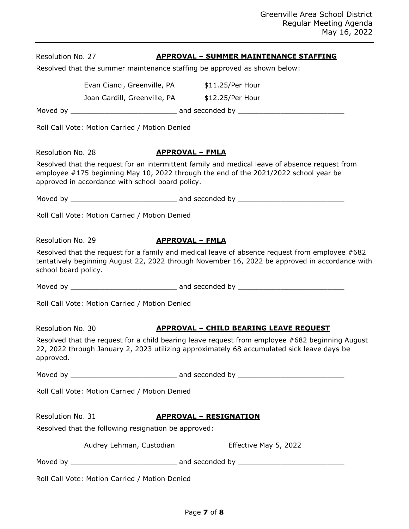| Resolution No. 27    |                                                                           | <b>APPROVAL - SUMMER MAINTENANCE STAFFING</b>                                                                                                                                                    |
|----------------------|---------------------------------------------------------------------------|--------------------------------------------------------------------------------------------------------------------------------------------------------------------------------------------------|
|                      | Resolved that the summer maintenance staffing be approved as shown below: |                                                                                                                                                                                                  |
|                      | Evan Cianci, Greenville, PA \$11.25/Per Hour                              |                                                                                                                                                                                                  |
|                      | Joan Gardill, Greenville, PA \$12.25/Per Hour                             |                                                                                                                                                                                                  |
|                      |                                                                           |                                                                                                                                                                                                  |
|                      | Roll Call Vote: Motion Carried / Motion Denied                            |                                                                                                                                                                                                  |
| Resolution No. 28    | <b>APPROVAL - FMLA</b>                                                    |                                                                                                                                                                                                  |
|                      | approved in accordance with school board policy.                          | Resolved that the request for an intermittent family and medical leave of absence request from<br>employee #175 beginning May 10, 2022 through the end of the 2021/2022 school year be           |
|                      |                                                                           |                                                                                                                                                                                                  |
|                      | Roll Call Vote: Motion Carried / Motion Denied                            |                                                                                                                                                                                                  |
| Resolution No. 29    | <b>APPROVAL - FMLA</b>                                                    |                                                                                                                                                                                                  |
| school board policy. |                                                                           | Resolved that the request for a family and medical leave of absence request from employee #682<br>tentatively beginning August 22, 2022 through November 16, 2022 be approved in accordance with |
|                      |                                                                           |                                                                                                                                                                                                  |
|                      | Roll Call Vote: Motion Carried / Motion Denied                            |                                                                                                                                                                                                  |
| Resolution No. 30    |                                                                           | <b>APPROVAL - CHILD BEARING LEAVE REQUEST</b>                                                                                                                                                    |
| approved.            |                                                                           | Resolved that the request for a child bearing leave request from employee #682 beginning August<br>22, 2022 through January 2, 2023 utilizing approximately 68 accumulated sick leave days be    |
|                      |                                                                           |                                                                                                                                                                                                  |
|                      | Roll Call Vote: Motion Carried / Motion Denied                            |                                                                                                                                                                                                  |
| Resolution No. 31    |                                                                           | <b>APPROVAL - RESIGNATION</b>                                                                                                                                                                    |
|                      | Resolved that the following resignation be approved:                      |                                                                                                                                                                                                  |
|                      | Audrey Lehman, Custodian                                                  | Effective May 5, 2022                                                                                                                                                                            |
|                      |                                                                           |                                                                                                                                                                                                  |
|                      | Roll Call Vote: Motion Carried / Motion Denied                            |                                                                                                                                                                                                  |